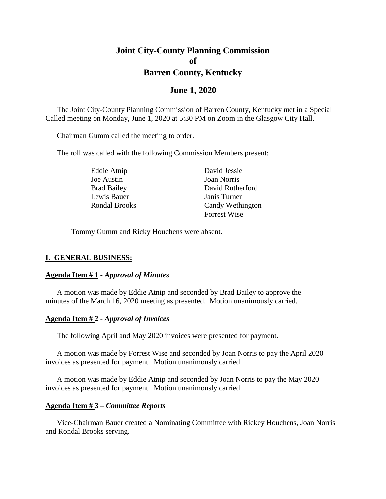# **Joint City-County Planning Commission of Barren County, Kentucky**

## **June 1, 2020**

The Joint City-County Planning Commission of Barren County, Kentucky met in a Special Called meeting on Monday, June 1, 2020 at 5:30 PM on Zoom in the Glasgow City Hall.

Chairman Gumm called the meeting to order.

The roll was called with the following Commission Members present:

Joe Austin Joan Norris Lewis Bauer Janis Turner

Eddie Atnip David Jessie Brad Bailey David Rutherford Rondal Brooks Candy Wethington Forrest Wise

Tommy Gumm and Ricky Houchens were absent.

#### **I. GENERAL BUSINESS:**

#### **Agenda Item # 1 -** *Approval of Minutes*

A motion was made by Eddie Atnip and seconded by Brad Bailey to approve the minutes of the March 16, 2020 meeting as presented. Motion unanimously carried.

#### **Agenda Item # 2 -** *Approval of Invoices*

The following April and May 2020 invoices were presented for payment.

A motion was made by Forrest Wise and seconded by Joan Norris to pay the April 2020 invoices as presented for payment. Motion unanimously carried.

A motion was made by Eddie Atnip and seconded by Joan Norris to pay the May 2020 invoices as presented for payment. Motion unanimously carried.

#### **Agenda Item # 3 –** *Committee Reports*

Vice-Chairman Bauer created a Nominating Committee with Rickey Houchens, Joan Norris and Rondal Brooks serving.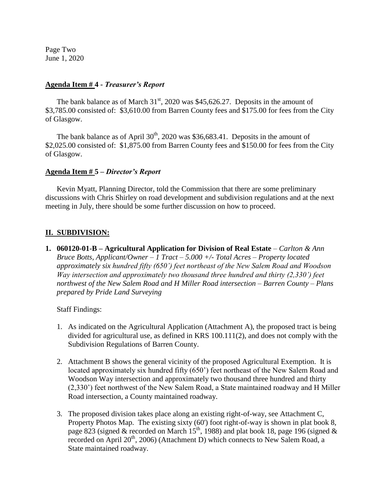Page Two June 1, 2020

#### **Agenda Item # 4 -** *Treasurer's Report*

The bank balance as of March  $31<sup>st</sup>$ , 2020 was \$45,626.27. Deposits in the amount of \$3,785.00 consisted of: \$3,610.00 from Barren County fees and \$175.00 for fees from the City of Glasgow.

The bank balance as of April  $30<sup>th</sup>$ , 2020 was \$36,683.41. Deposits in the amount of \$2,025.00 consisted of: \$1,875.00 from Barren County fees and \$150.00 for fees from the City of Glasgow.

#### **Agenda Item # 5 –** *Director's Report*

Kevin Myatt, Planning Director, told the Commission that there are some preliminary discussions with Chris Shirley on road development and subdivision regulations and at the next meeting in July, there should be some further discussion on how to proceed.

#### **II. SUBDIVISION:**

**1. 060120-01-B – Agricultural Application for Division of Real Estate** *– Carlton & Ann Bruce Botts, Applicant/Owner – 1 Tract – 5.000 +/- Total Acres – Property located approximately six hundred fifty (650') feet northeast of the New Salem Road and Woodson Way intersection and approximately two thousand three hundred and thirty (2,330') feet northwest of the New Salem Road and H Miller Road intersection – Barren County – Plans prepared by Pride Land Surveying*

Staff Findings:

- 1. As indicated on the Agricultural Application (Attachment A), the proposed tract is being divided for agricultural use, as defined in KRS 100.111(2), and does not comply with the Subdivision Regulations of Barren County.
- 2. Attachment B shows the general vicinity of the proposed Agricultural Exemption. It is located approximately six hundred fifty (650') feet northeast of the New Salem Road and Woodson Way intersection and approximately two thousand three hundred and thirty (2,330') feet northwest of the New Salem Road, a State maintained roadway and H Miller Road intersection, a County maintained roadway.
- 3. The proposed division takes place along an existing right-of-way, see Attachment C, Property Photos Map. The existing sixty (60') foot right-of-way is shown in plat book 8, page 823 (signed & recorded on March  $15^{th}$ , 1988) and plat book 18, page 196 (signed & recorded on April 20<sup>th</sup>, 2006) (Attachment D) which connects to New Salem Road, a State maintained roadway.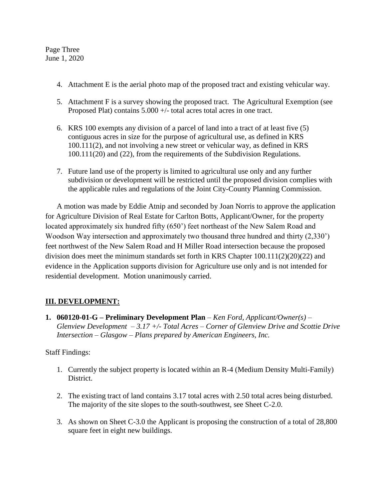Page Three June 1, 2020

- 4. Attachment E is the aerial photo map of the proposed tract and existing vehicular way.
- 5. Attachment F is a survey showing the proposed tract. The Agricultural Exemption (see Proposed Plat) contains 5.000 +/- total acres total acres in one tract.
- 6. KRS 100 exempts any division of a parcel of land into a tract of at least five (5) contiguous acres in size for the purpose of agricultural use, as defined in KRS 100.111(2), and not involving a new street or vehicular way, as defined in KRS 100.111(20) and (22), from the requirements of the Subdivision Regulations.
- 7. Future land use of the property is limited to agricultural use only and any further subdivision or development will be restricted until the proposed division complies with the applicable rules and regulations of the Joint City-County Planning Commission.

A motion was made by Eddie Atnip and seconded by Joan Norris to approve the application for Agriculture Division of Real Estate for Carlton Botts, Applicant/Owner, for the property located approximately six hundred fifty (650') feet northeast of the New Salem Road and Woodson Way intersection and approximately two thousand three hundred and thirty (2,330') feet northwest of the New Salem Road and H Miller Road intersection because the proposed division does meet the minimum standards set forth in KRS Chapter 100.111(2)(20)(22) and evidence in the Application supports division for Agriculture use only and is not intended for residential development. Motion unanimously carried.

# **III. DEVELOPMENT:**

**1. 060120-01-G – Preliminary Development Plan** *– Ken Ford, Applicant/Owner(s) – Glenview Development – 3.17 +/- Total Acres – Corner of Glenview Drive and Scottie Drive Intersection – Glasgow – Plans prepared by American Engineers, Inc.*

### Staff Findings:

- 1. Currently the subject property is located within an R-4 (Medium Density Multi-Family) District.
- 2. The existing tract of land contains 3.17 total acres with 2.50 total acres being disturbed. The majority of the site slopes to the south-southwest, see Sheet C-2.0.
- 3. As shown on Sheet C-3.0 the Applicant is proposing the construction of a total of 28,800 square feet in eight new buildings.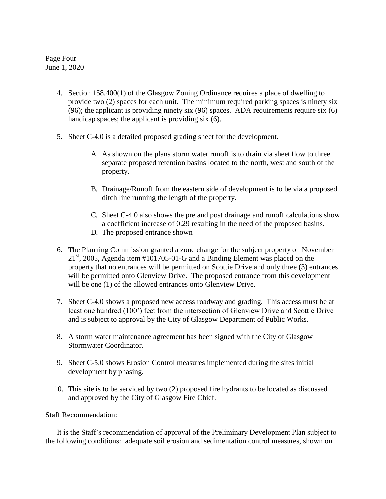Page Four June 1, 2020

- 4. Section 158.400(1) of the Glasgow Zoning Ordinance requires a place of dwelling to provide two (2) spaces for each unit. The minimum required parking spaces is ninety six (96); the applicant is providing ninety six (96) spaces. ADA requirements require six (6) handicap spaces; the applicant is providing six (6).
- 5. Sheet C-4.0 is a detailed proposed grading sheet for the development.
	- A. As shown on the plans storm water runoff is to drain via sheet flow to three separate proposed retention basins located to the north, west and south of the property.
	- B. Drainage/Runoff from the eastern side of development is to be via a proposed ditch line running the length of the property.
	- C. Sheet C-4.0 also shows the pre and post drainage and runoff calculations show a coefficient increase of 0.29 resulting in the need of the proposed basins.
	- D. The proposed entrance shown
- 6. The Planning Commission granted a zone change for the subject property on November  $21<sup>st</sup>$ , 2005, Agenda item #101705-01-G and a Binding Element was placed on the property that no entrances will be permitted on Scottie Drive and only three (3) entrances will be permitted onto Glenview Drive. The proposed entrance from this development will be one (1) of the allowed entrances onto Glenview Drive.
- 7. Sheet C-4.0 shows a proposed new access roadway and grading. This access must be at least one hundred (100') feet from the intersection of Glenview Drive and Scottie Drive and is subject to approval by the City of Glasgow Department of Public Works.
- 8. A storm water maintenance agreement has been signed with the City of Glasgow Stormwater Coordinator.
- 9. Sheet C-5.0 shows Erosion Control measures implemented during the sites initial development by phasing.
- 10. This site is to be serviced by two (2) proposed fire hydrants to be located as discussed and approved by the City of Glasgow Fire Chief.

Staff Recommendation:

It is the Staff's recommendation of approval of the Preliminary Development Plan subject to the following conditions: adequate soil erosion and sedimentation control measures, shown on